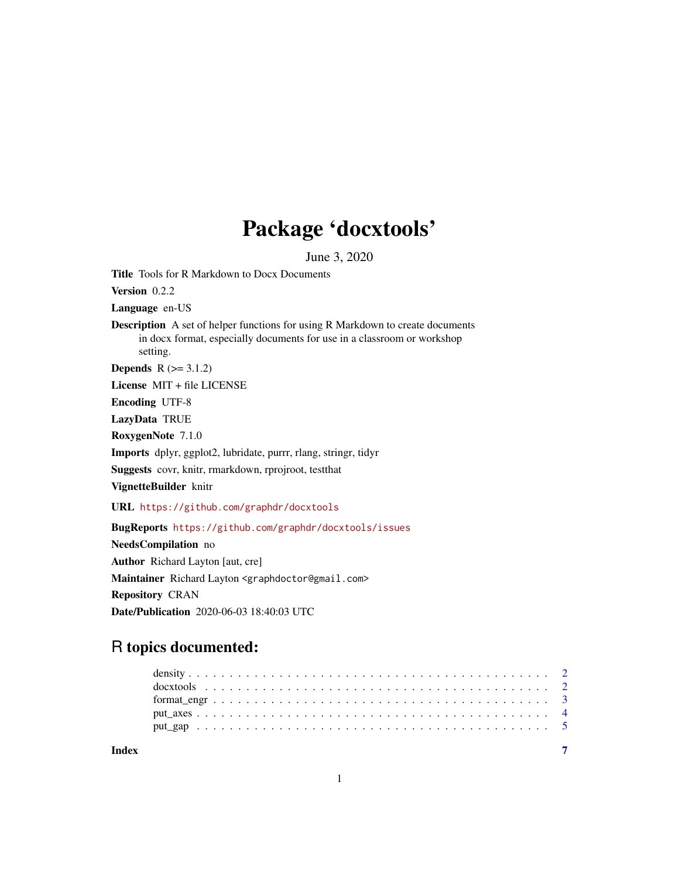# Package 'docxtools'

June 3, 2020

Title Tools for R Markdown to Docx Documents Version 0.2.2 Language en-US Description A set of helper functions for using R Markdown to create documents in docx format, especially documents for use in a classroom or workshop setting. **Depends**  $R$  ( $> = 3.1.2$ ) License MIT + file LICENSE Encoding UTF-8 LazyData TRUE RoxygenNote 7.1.0 Imports dplyr, ggplot2, lubridate, purrr, rlang, stringr, tidyr Suggests covr, knitr, rmarkdown, rprojroot, testthat VignetteBuilder knitr URL <https://github.com/graphdr/docxtools> BugReports <https://github.com/graphdr/docxtools/issues> NeedsCompilation no Author Richard Layton [aut, cre] Maintainer Richard Layton <graphdoctor@gmail.com>

Repository CRAN

Date/Publication 2020-06-03 18:40:03 UTC

# R topics documented:

| Index |  |  |  |  |  |  |  |  |  |  |  |  |  |  |  |  |  |  |  |  |  |
|-------|--|--|--|--|--|--|--|--|--|--|--|--|--|--|--|--|--|--|--|--|--|
|       |  |  |  |  |  |  |  |  |  |  |  |  |  |  |  |  |  |  |  |  |  |
|       |  |  |  |  |  |  |  |  |  |  |  |  |  |  |  |  |  |  |  |  |  |
|       |  |  |  |  |  |  |  |  |  |  |  |  |  |  |  |  |  |  |  |  |  |
|       |  |  |  |  |  |  |  |  |  |  |  |  |  |  |  |  |  |  |  |  |  |
|       |  |  |  |  |  |  |  |  |  |  |  |  |  |  |  |  |  |  |  |  |  |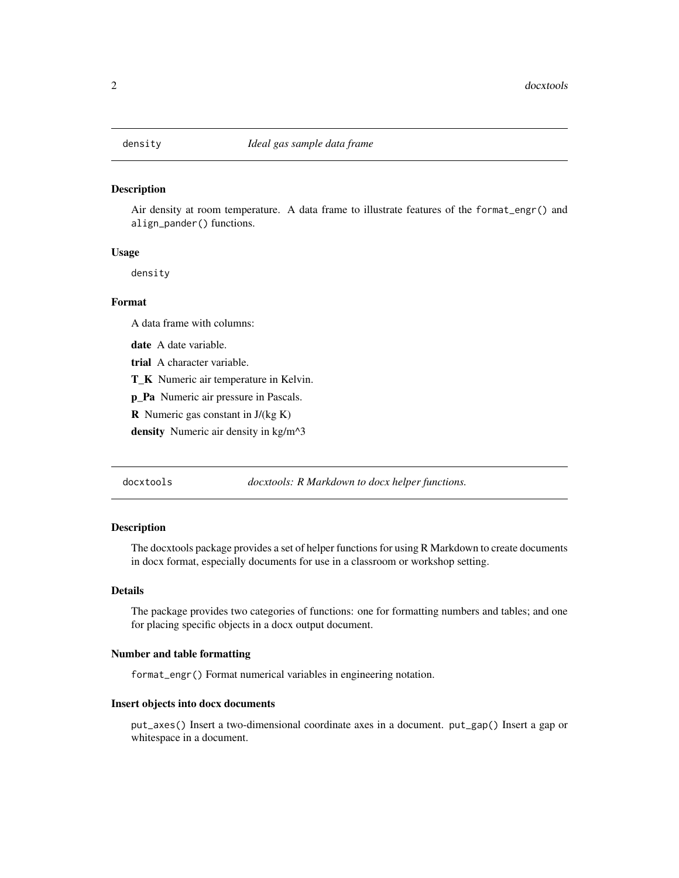<span id="page-1-0"></span>

#### Description

Air density at room temperature. A data frame to illustrate features of the format\_engr() and align\_pander() functions.

#### Usage

density

#### Format

A data frame with columns:

date A date variable.

trial A character variable.

T\_K Numeric air temperature in Kelvin.

p\_Pa Numeric air pressure in Pascals.

**R** Numeric gas constant in  $J/(kg K)$ 

density Numeric air density in kg/m^3

docxtools *docxtools: R Markdown to docx helper functions.*

#### Description

The docxtools package provides a set of helper functions for using R Markdown to create documents in docx format, especially documents for use in a classroom or workshop setting.

#### Details

The package provides two categories of functions: one for formatting numbers and tables; and one for placing specific objects in a docx output document.

#### Number and table formatting

format\_engr() Format numerical variables in engineering notation.

#### Insert objects into docx documents

put\_axes() Insert a two-dimensional coordinate axes in a document. put\_gap() Insert a gap or whitespace in a document.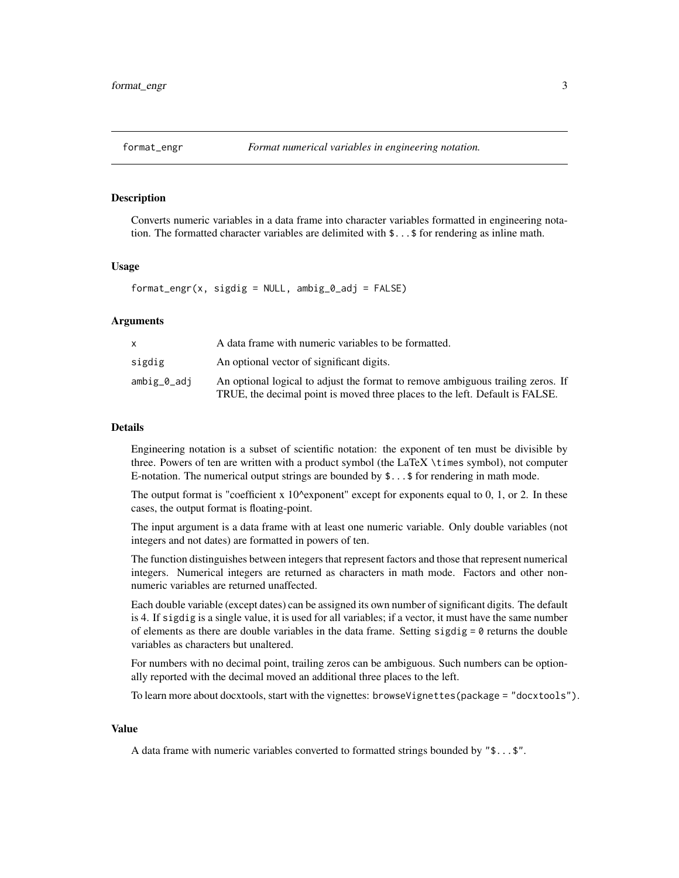<span id="page-2-0"></span>

#### Description

Converts numeric variables in a data frame into character variables formatted in engineering notation. The formatted character variables are delimited with \$...\$ for rendering as inline math.

#### Usage

format\_engr(x, sigdig = NULL, ambig\_0\_adj = FALSE)

#### Arguments

|             | A data frame with numeric variables to be formatted.                                                                                                            |
|-------------|-----------------------------------------------------------------------------------------------------------------------------------------------------------------|
| sigdig      | An optional vector of significant digits.                                                                                                                       |
| ambig_0_adj | An optional logical to adjust the format to remove ambiguous trailing zeros. If<br>TRUE, the decimal point is moved three places to the left. Default is FALSE. |

#### Details

Engineering notation is a subset of scientific notation: the exponent of ten must be divisible by three. Powers of ten are written with a product symbol (the LaTeX \times symbol), not computer E-notation. The numerical output strings are bounded by  $\frac{1}{2}$ ...  $\frac{1}{2}$  for rendering in math mode.

The output format is "coefficient x  $10^{\circ}$ exponent" except for exponents equal to 0, 1, or 2. In these cases, the output format is floating-point.

The input argument is a data frame with at least one numeric variable. Only double variables (not integers and not dates) are formatted in powers of ten.

The function distinguishes between integers that represent factors and those that represent numerical integers. Numerical integers are returned as characters in math mode. Factors and other nonnumeric variables are returned unaffected.

Each double variable (except dates) can be assigned its own number of significant digits. The default is 4. If sigdig is a single value, it is used for all variables; if a vector, it must have the same number of elements as there are double variables in the data frame. Setting sigdig = 0 returns the double variables as characters but unaltered.

For numbers with no decimal point, trailing zeros can be ambiguous. Such numbers can be optionally reported with the decimal moved an additional three places to the left.

To learn more about docxtools, start with the vignettes: browseVignettes(package = "docxtools").

#### Value

A data frame with numeric variables converted to formatted strings bounded by "\$...\$".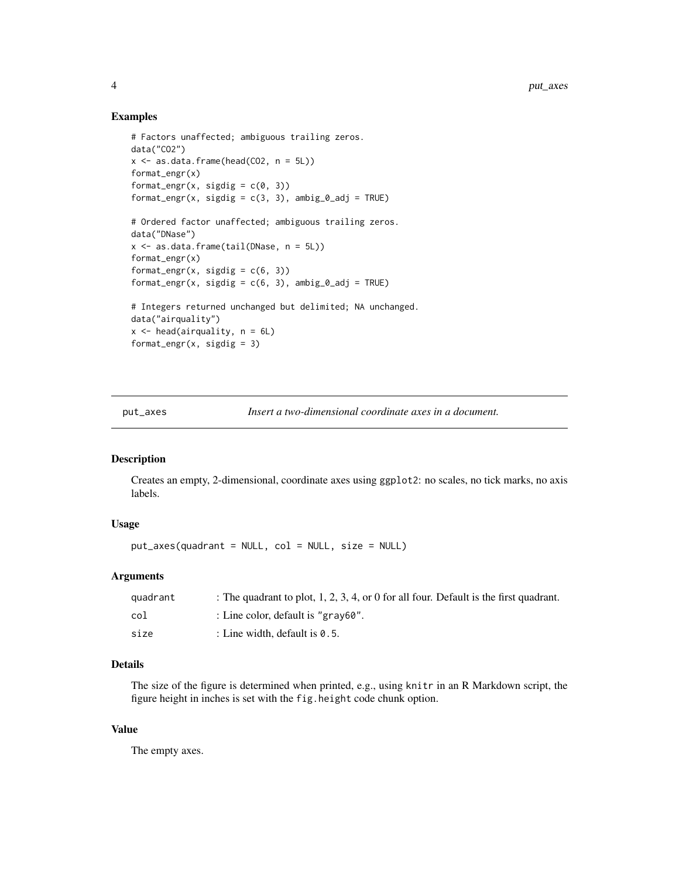#### Examples

```
# Factors unaffected; ambiguous trailing zeros.
data("CO2")
x \leftarrow as.data frame(head(CO2, n = 5L))format_engr(x)
format_engr(x, sigdig = c(0, 3))
format_engr(x, sigdig = c(3, 3), ambig_0_adj = TRUE)
# Ordered factor unaffected; ambiguous trailing zeros.
data("DNase")
x \le - as.data.frame(tail(DNase, n = 5L))
format_engr(x)
format_engr(x, sigdig = c(6, 3))
format_engr(x, sigdig = c(6, 3), ambig_0_adj = TRUE)
# Integers returned unchanged but delimited; NA unchanged.
data("airquality")
x \le - head(airquality, n = 6L)
format_engr(x, sigdig = 3)
```
put\_axes *Insert a two-dimensional coordinate axes in a document.*

#### Description

Creates an empty, 2-dimensional, coordinate axes using ggplot2: no scales, no tick marks, no axis labels.

#### Usage

put\_axes(quadrant = NULL, col = NULL, size = NULL)

#### Arguments

| quadrant | : The quadrant to plot, $1, 2, 3, 4$ , or 0 for all four. Default is the first quadrant. |
|----------|------------------------------------------------------------------------------------------|
| co1      | : Line color, default is "gray60".                                                       |
| size     | : Line width, default is $0.5$ .                                                         |

#### Details

The size of the figure is determined when printed, e.g., using knitr in an R Markdown script, the figure height in inches is set with the fig.height code chunk option.

#### Value

The empty axes.

<span id="page-3-0"></span>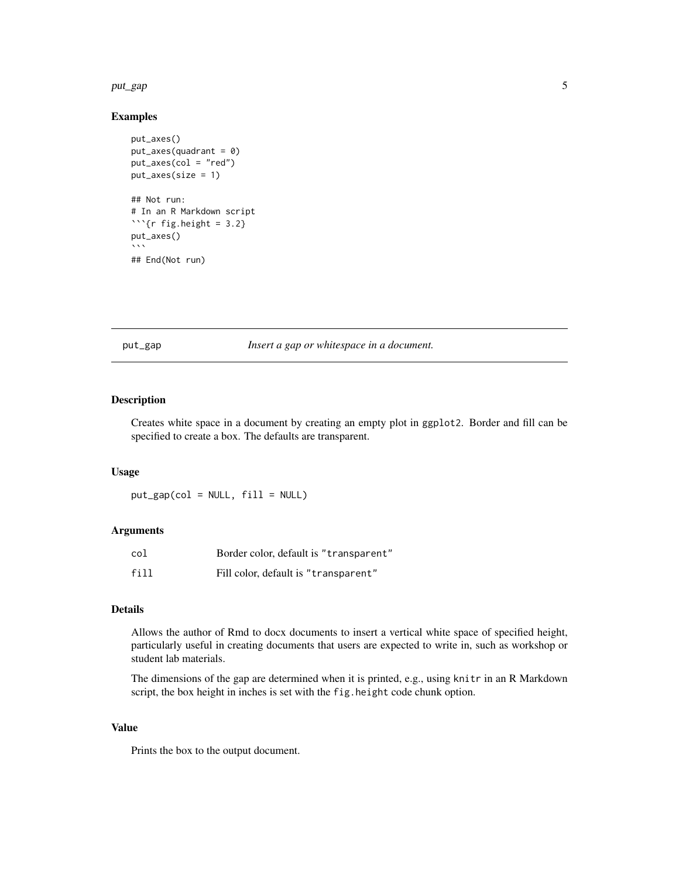#### <span id="page-4-0"></span>put\_gap 5

#### Examples

```
put_axes()
put_axes(quadrant = 0)
put_axes(col = "red")
put_axes(size = 1)
## Not run:
# In an R Markdown script
```{r fig.height = 3.2}
put_axes()
\ddot{\phantom{0}}## End(Not run)
```
put\_gap *Insert a gap or whitespace in a document.*

## Description

Creates white space in a document by creating an empty plot in ggplot2. Border and fill can be specified to create a box. The defaults are transparent.

#### Usage

put\_gap(col = NULL, fill = NULL)

#### Arguments

| col  | Border color, default is "transparent" |
|------|----------------------------------------|
| fill | Fill color, default is "transparent"   |

#### Details

Allows the author of Rmd to docx documents to insert a vertical white space of specified height, particularly useful in creating documents that users are expected to write in, such as workshop or student lab materials.

The dimensions of the gap are determined when it is printed, e.g., using knitr in an R Markdown script, the box height in inches is set with the fig.height code chunk option.

#### Value

Prints the box to the output document.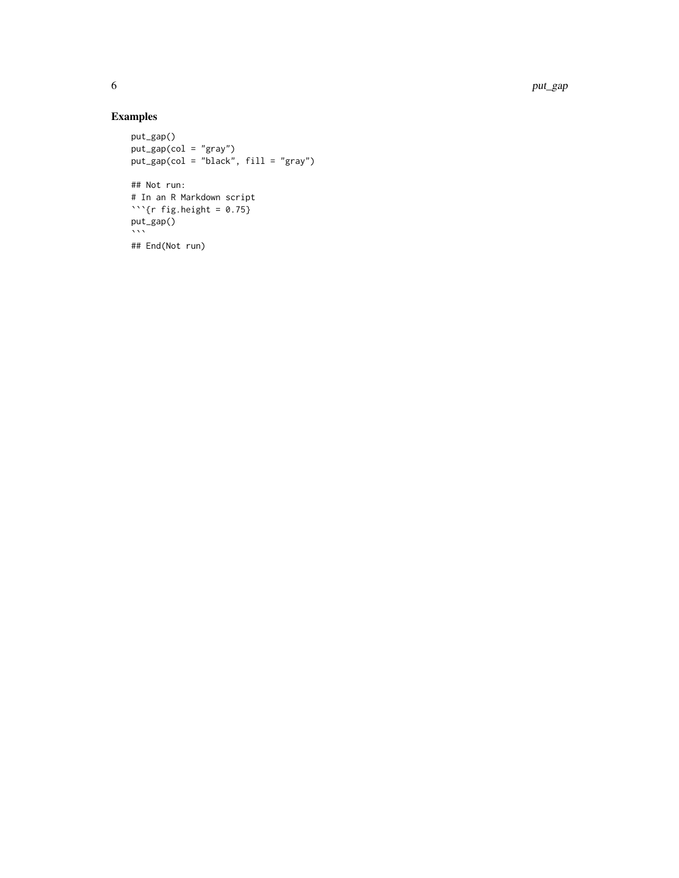## Examples

```
put_gap()
put\_gap(col = "gray")put\_gap(col = "black", fill = "gray")## Not run:
# In an R Markdown script
```{r fig.height = 0.75}
put_gap()
\sum## End(Not run)
```